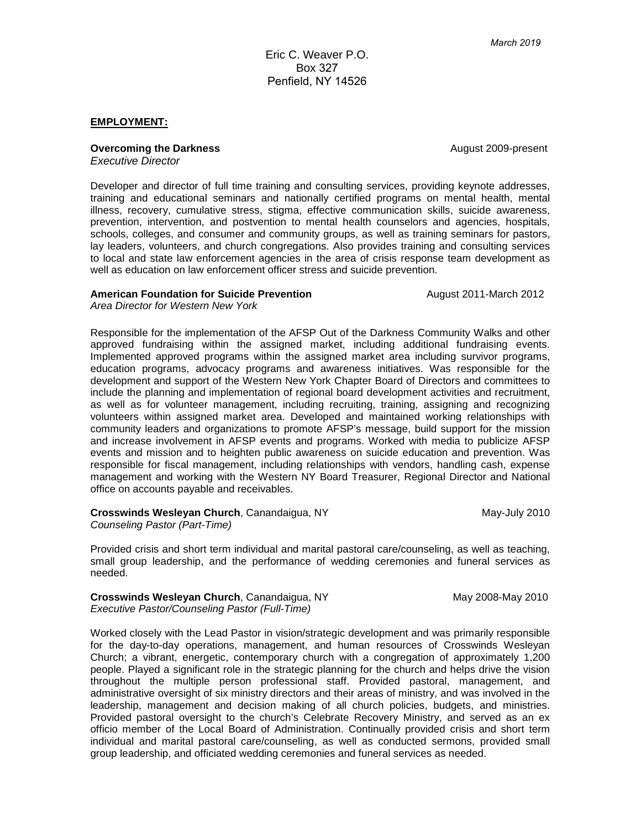Eric C. Weaver P.O. Box 327 Penfield, NY 14526

#### **EMPLOYMENT:**

**Overcoming the Darkness Covercoming the Darkness August 2009-present** 

*Executive Director*

Developer and director of full time training and consulting services, providing keynote addresses, training and educational seminars and nationally certified programs on mental health, mental illness, recovery, cumulative stress, stigma, effective communication skills, suicide awareness, prevention, intervention, and postvention to mental health counselors and agencies, hospitals, schools, colleges, and consumer and community groups, as well as training seminars for pastors, lay leaders, volunteers, and church congregations. Also provides training and consulting services to local and state law enforcement agencies in the area of crisis response team development as well as education on law enforcement officer stress and suicide prevention.

#### **American Foundation for Suicide Prevention August 2011-March 2012**

*Area Director for Western New York*

Responsible for the implementation of the AFSP Out of the Darkness Community Walks and other approved fundraising within the assigned market, including additional fundraising events. Implemented approved programs within the assigned market area including survivor programs, education programs, advocacy programs and awareness initiatives. Was responsible for the development and support of the Western New York Chapter Board of Directors and committees to include the planning and implementation of regional board development activities and recruitment, as well as for volunteer management, including recruiting, training, assigning and recognizing volunteers within assigned market area. Developed and maintained working relationships with community leaders and organizations to promote AFSP's message, build support for the mission and increase involvement in AFSP events and programs. Worked with media to publicize AFSP events and mission and to heighten public awareness on suicide education and prevention. Was responsible for fiscal management, including relationships with vendors, handling cash, expense management and working with the Western NY Board Treasurer, Regional Director and National office on accounts payable and receivables.

**Crosswinds Wesleyan Church**, Canandaigua, NY May-July 2010 *Counseling Pastor (Part-Time)*

Provided crisis and short term individual and marital pastoral care/counseling, as well as teaching, small group leadership, and the performance of wedding ceremonies and funeral services as needed.

**Crosswinds Wesleyan Church**, Canandaigua, NY May 2008-May 2010 *Executive Pastor/Counseling Pastor (Full-Time)*

Worked closely with the Lead Pastor in vision/strategic development and was primarily responsible for the day-to-day operations, management, and human resources of Crosswinds Wesleyan Church; a vibrant, energetic, contemporary church with a congregation of approximately 1,200 people. Played a significant role in the strategic planning for the church and helps drive the vision throughout the multiple person professional staff. Provided pastoral, management, and administrative oversight of six ministry directors and their areas of ministry, and was involved in the leadership, management and decision making of all church policies, budgets, and ministries. Provided pastoral oversight to the church's Celebrate Recovery Ministry, and served as an ex officio member of the Local Board of Administration. Continually provided crisis and short term individual and marital pastoral care/counseling, as well as conducted sermons, provided small group leadership, and officiated wedding ceremonies and funeral services as needed.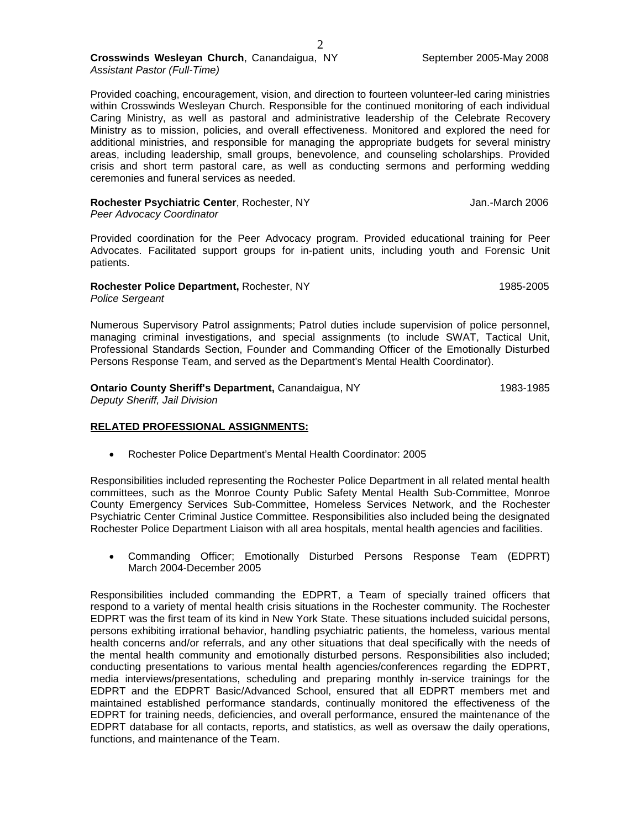### **Crosswinds Wesleyan Church**, Canandaigua, NY September 2005-May 2008 *Assistant Pastor (Full-Time)*

Provided coaching, encouragement, vision, and direction to fourteen volunteer-led caring ministries within Crosswinds Wesleyan Church. Responsible for the continued monitoring of each individual Caring Ministry, as well as pastoral and administrative leadership of the Celebrate Recovery Ministry as to mission, policies, and overall effectiveness. Monitored and explored the need for additional ministries, and responsible for managing the appropriate budgets for several ministry areas, including leadership, small groups, benevolence, and counseling scholarships. Provided crisis and short term pastoral care, as well as conducting sermons and performing wedding ceremonies and funeral services as needed.

| Rochester Psychiatric Center, Rochester, NY | Jan.-March 2006 |
|---------------------------------------------|-----------------|
| Peer Advocacy Coordinator                   |                 |

Provided coordination for the Peer Advocacy program. Provided educational training for Peer Advocates. Facilitated support groups for in-patient units, including youth and Forensic Unit patients.

**Rochester Police Department, Rochester, NY 1985-2005** *Police Sergeant*

Numerous Supervisory Patrol assignments; Patrol duties include supervision of police personnel, managing criminal investigations, and special assignments (to include SWAT, Tactical Unit, Professional Standards Section, Founder and Commanding Officer of the Emotionally Disturbed Persons Response Team, and served as the Department's Mental Health Coordinator).

## **Ontario County Sheriff's Department, Canandaigua, NY 1983-1985** 1983-1985

*Deputy Sheriff, Jail Division*

### **RELATED PROFESSIONAL ASSIGNMENTS:**

• Rochester Police Department's Mental Health Coordinator: 2005

Responsibilities included representing the Rochester Police Department in all related mental health committees, such as the Monroe County Public Safety Mental Health Sub-Committee, Monroe County Emergency Services Sub-Committee, Homeless Services Network, and the Rochester Psychiatric Center Criminal Justice Committee. Responsibilities also included being the designated Rochester Police Department Liaison with all area hospitals, mental health agencies and facilities.

• Commanding Officer; Emotionally Disturbed Persons Response Team (EDPRT) March 2004-December 2005

Responsibilities included commanding the EDPRT, a Team of specially trained officers that respond to a variety of mental health crisis situations in the Rochester community. The Rochester EDPRT was the first team of its kind in New York State. These situations included suicidal persons, persons exhibiting irrational behavior, handling psychiatric patients, the homeless, various mental health concerns and/or referrals, and any other situations that deal specifically with the needs of the mental health community and emotionally disturbed persons. Responsibilities also included; conducting presentations to various mental health agencies/conferences regarding the EDPRT, media interviews/presentations, scheduling and preparing monthly in-service trainings for the EDPRT and the EDPRT Basic/Advanced School, ensured that all EDPRT members met and maintained established performance standards, continually monitored the effectiveness of the EDPRT for training needs, deficiencies, and overall performance, ensured the maintenance of the EDPRT database for all contacts, reports, and statistics, as well as oversaw the daily operations, functions, and maintenance of the Team.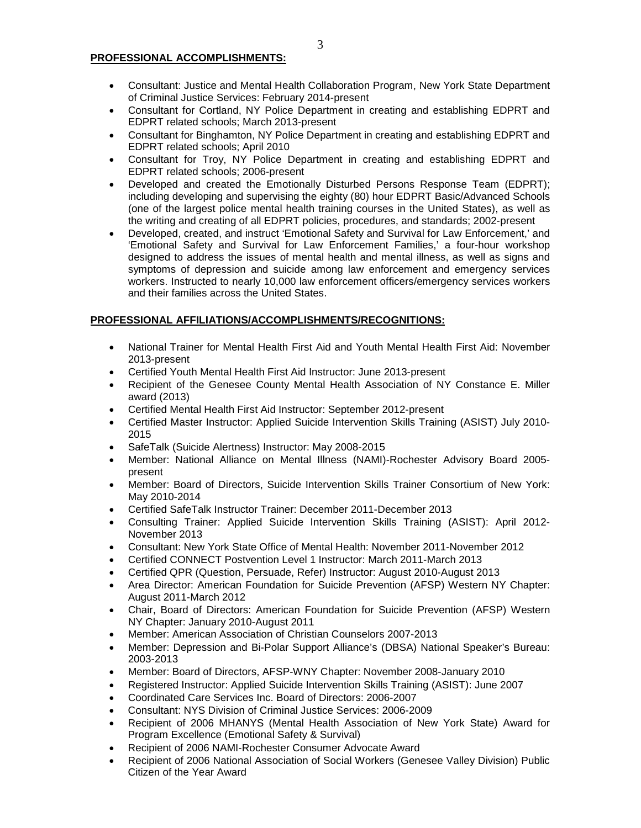#### **PROFESSIONAL ACCOMPLISHMENTS:**

- Consultant: Justice and Mental Health Collaboration Program, New York State Department of Criminal Justice Services: February 2014-present
- Consultant for Cortland, NY Police Department in creating and establishing EDPRT and EDPRT related schools; March 2013-present
- Consultant for Binghamton, NY Police Department in creating and establishing EDPRT and EDPRT related schools; April 2010
- Consultant for Troy, NY Police Department in creating and establishing EDPRT and EDPRT related schools; 2006-present
- Developed and created the Emotionally Disturbed Persons Response Team (EDPRT); including developing and supervising the eighty (80) hour EDPRT Basic/Advanced Schools (one of the largest police mental health training courses in the United States), as well as the writing and creating of all EDPRT policies, procedures, and standards; 2002-present
- Developed, created, and instruct 'Emotional Safety and Survival for Law Enforcement,' and 'Emotional Safety and Survival for Law Enforcement Families,' a four-hour workshop designed to address the issues of mental health and mental illness, as well as signs and symptoms of depression and suicide among law enforcement and emergency services workers. Instructed to nearly 10,000 law enforcement officers/emergency services workers and their families across the United States.

## **PROFESSIONAL AFFILIATIONS/ACCOMPLISHMENTS/RECOGNITIONS:**

- National Trainer for Mental Health First Aid and Youth Mental Health First Aid: November 2013-present
- Certified Youth Mental Health First Aid Instructor: June 2013-present
- Recipient of the Genesee County Mental Health Association of NY Constance E. Miller award (2013)
- Certified Mental Health First Aid Instructor: September 2012-present
- Certified Master Instructor: Applied Suicide Intervention Skills Training (ASIST) July 2010- 2015
- SafeTalk (Suicide Alertness) Instructor: May 2008-2015
- Member: National Alliance on Mental Illness (NAMI)-Rochester Advisory Board 2005 present
- Member: Board of Directors, Suicide Intervention Skills Trainer Consortium of New York: May 2010-2014
- Certified SafeTalk Instructor Trainer: December 2011-December 2013
- Consulting Trainer: Applied Suicide Intervention Skills Training (ASIST): April 2012- November 2013
- Consultant: New York State Office of Mental Health: November 2011-November 2012
- Certified CONNECT Postvention Level 1 Instructor: March 2011-March 2013
- Certified QPR (Question, Persuade, Refer) Instructor: August 2010-August 2013
- Area Director: American Foundation for Suicide Prevention (AFSP) Western NY Chapter: August 2011-March 2012
- Chair, Board of Directors: American Foundation for Suicide Prevention (AFSP) Western NY Chapter: January 2010-August 2011
- Member: American Association of Christian Counselors 2007-2013
- Member: Depression and Bi-Polar Support Alliance's (DBSA) National Speaker's Bureau: 2003-2013
- Member: Board of Directors, AFSP-WNY Chapter: November 2008-January 2010
- Registered Instructor: Applied Suicide Intervention Skills Training (ASIST): June 2007
- Coordinated Care Services Inc. Board of Directors: 2006-2007
- Consultant: NYS Division of Criminal Justice Services: 2006-2009
- Recipient of 2006 MHANYS (Mental Health Association of New York State) Award for Program Excellence (Emotional Safety & Survival)
- Recipient of 2006 NAMI-Rochester Consumer Advocate Award
- Recipient of 2006 National Association of Social Workers (Genesee Valley Division) Public Citizen of the Year Award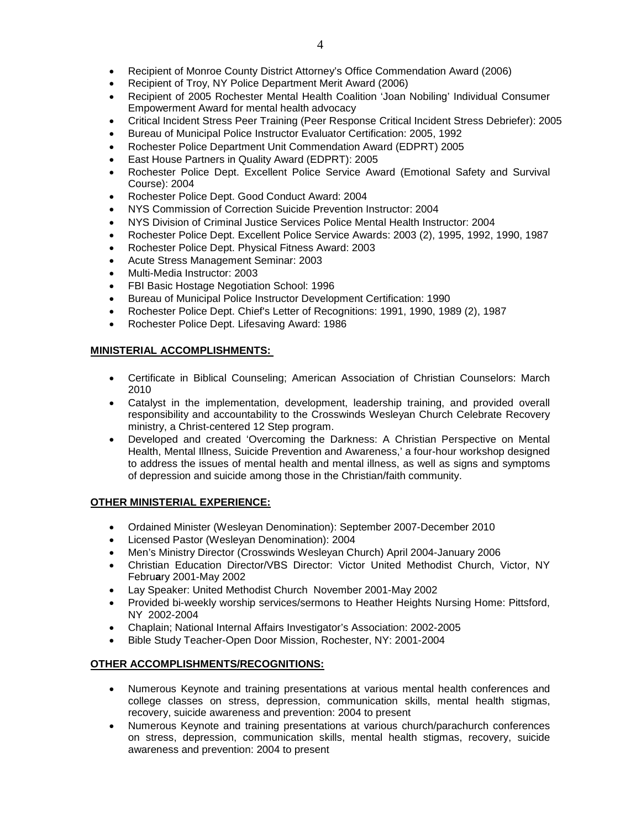- Recipient of Monroe County District Attorney's Office Commendation Award (2006)
- Recipient of Troy, NY Police Department Merit Award (2006)
- Recipient of 2005 Rochester Mental Health Coalition 'Joan Nobiling' Individual Consumer Empowerment Award for mental health advocacy
- Critical Incident Stress Peer Training (Peer Response Critical Incident Stress Debriefer): 2005
- Bureau of Municipal Police Instructor Evaluator Certification: 2005, 1992
- Rochester Police Department Unit Commendation Award (EDPRT) 2005
- East House Partners in Quality Award (EDPRT): 2005
- Rochester Police Dept. Excellent Police Service Award (Emotional Safety and Survival Course): 2004
- Rochester Police Dept. Good Conduct Award: 2004
- NYS Commission of Correction Suicide Prevention Instructor: 2004
- NYS Division of Criminal Justice Services Police Mental Health Instructor: 2004
- Rochester Police Dept. Excellent Police Service Awards: 2003 (2), 1995, 1992, 1990, 1987
- Rochester Police Dept. Physical Fitness Award: 2003
- Acute Stress Management Seminar: 2003
- Multi-Media Instructor: 2003
- FBI Basic Hostage Negotiation School: 1996
- Bureau of Municipal Police Instructor Development Certification: 1990
- Rochester Police Dept. Chief's Letter of Recognitions: 1991, 1990, 1989 (2), 1987
- Rochester Police Dept. Lifesaving Award: 1986

# **MINISTERIAL ACCOMPLISHMENTS:**

- Certificate in Biblical Counseling; American Association of Christian Counselors: March 2010
- Catalyst in the implementation, development, leadership training, and provided overall responsibility and accountability to the Crosswinds Wesleyan Church Celebrate Recovery ministry, a Christ-centered 12 Step program.
- Developed and created 'Overcoming the Darkness: A Christian Perspective on Mental Health, Mental Illness, Suicide Prevention and Awareness,' a four-hour workshop designed to address the issues of mental health and mental illness, as well as signs and symptoms of depression and suicide among those in the Christian/faith community.

# **OTHER MINISTERIAL EXPERIENCE:**

- Ordained Minister (Wesleyan Denomination): September 2007-December 2010
- Licensed Pastor (Wesleyan Denomination): 2004
- Men's Ministry Director (Crosswinds Wesleyan Church) April 2004-January 2006
- Christian Education Director/VBS Director: Victor United Methodist Church, Victor, NY Febru**a**ry 2001-May 2002
- Lay Speaker: United Methodist Church November 2001-May 2002
- Provided bi-weekly worship services/sermons to Heather Heights Nursing Home: Pittsford, NY 2002-2004
- Chaplain; National Internal Affairs Investigator's Association: 2002-2005
- Bible Study Teacher-Open Door Mission, Rochester, NY: 2001-2004

# **OTHER ACCOMPLISHMENTS/RECOGNITIONS:**

- Numerous Keynote and training presentations at various mental health conferences and college classes on stress, depression, communication skills, mental health stigmas, recovery, suicide awareness and prevention: 2004 to present
- Numerous Keynote and training presentations at various church/parachurch conferences on stress, depression, communication skills, mental health stigmas, recovery, suicide awareness and prevention: 2004 to present